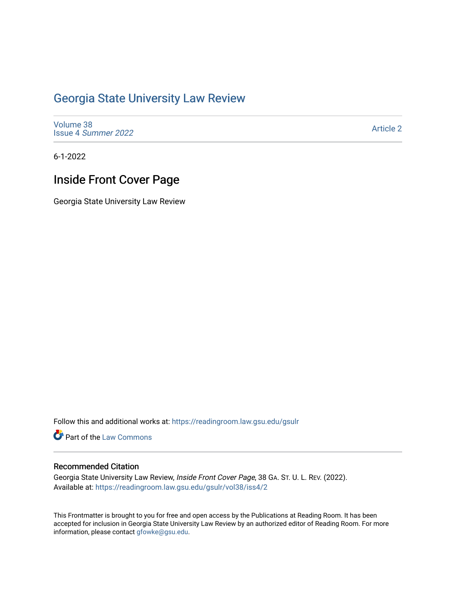## [Georgia State University Law Review](https://readingroom.law.gsu.edu/gsulr)

[Volume 38](https://readingroom.law.gsu.edu/gsulr/vol38) Issue 4 [Summer 2022](https://readingroom.law.gsu.edu/gsulr/vol38/iss4) 

[Article 2](https://readingroom.law.gsu.edu/gsulr/vol38/iss4/2) 

6-1-2022

# **Inside Front Cover Page**

Georgia State University Law Review

Follow this and additional works at: [https://readingroom.law.gsu.edu/gsulr](https://readingroom.law.gsu.edu/gsulr?utm_source=readingroom.law.gsu.edu%2Fgsulr%2Fvol38%2Fiss4%2F2&utm_medium=PDF&utm_campaign=PDFCoverPages) 

Part of the [Law Commons](https://network.bepress.com/hgg/discipline/578?utm_source=readingroom.law.gsu.edu%2Fgsulr%2Fvol38%2Fiss4%2F2&utm_medium=PDF&utm_campaign=PDFCoverPages)

#### Recommended Citation

Georgia State University Law Review, Inside Front Cover Page, 38 GA. ST. U. L. REV. (2022). Available at: [https://readingroom.law.gsu.edu/gsulr/vol38/iss4/2](https://readingroom.law.gsu.edu/gsulr/vol38/iss4/2?utm_source=readingroom.law.gsu.edu%2Fgsulr%2Fvol38%2Fiss4%2F2&utm_medium=PDF&utm_campaign=PDFCoverPages)

This Frontmatter is brought to you for free and open access by the Publications at Reading Room. It has been accepted for inclusion in Georgia State University Law Review by an authorized editor of Reading Room. For more information, please contact [gfowke@gsu.edu.](mailto:gfowke@gsu.edu)